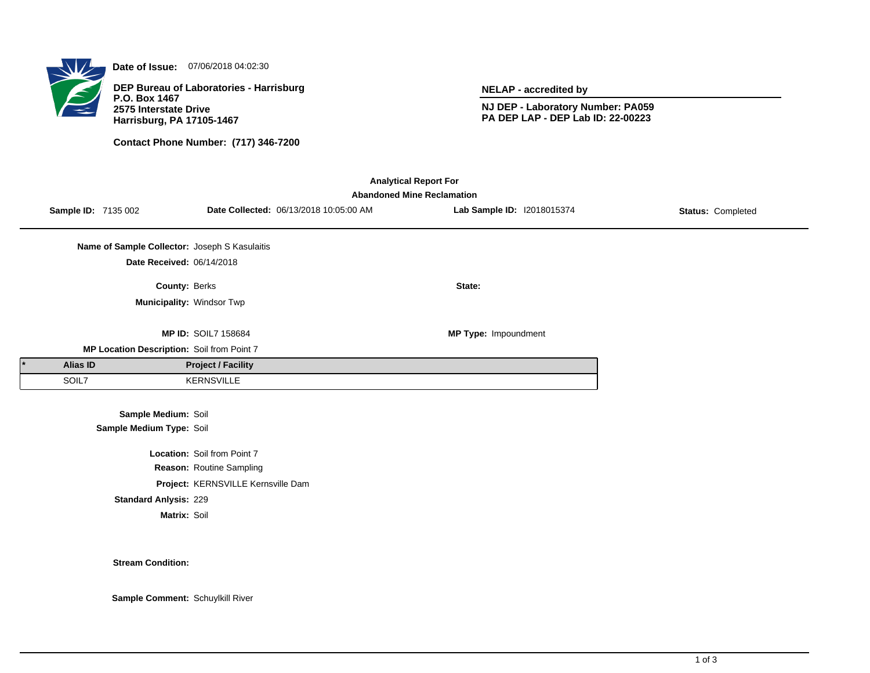

**Date of Issue:** 07/06/2018 04:02:30

**DEP Bureau of Laboratories - Harrisburg P.O. Box 1467 2575 Interstate Drive Harrisburg, PA 17105-1467**

**Contact Phone Number: (717) 346-7200**

**NELAP - accredited by**

**NJ DEP - Laboratory Number: PA059 PA DEP LAP - DEP Lab ID: 22-00223**

| <b>Analytical Report For</b><br><b>Abandoned Mine Reclamation</b> |                                               |                                    |                                        |                            |                   |  |  |  |  |  |
|-------------------------------------------------------------------|-----------------------------------------------|------------------------------------|----------------------------------------|----------------------------|-------------------|--|--|--|--|--|
| Sample ID: 7135 002                                               |                                               |                                    | Date Collected: 06/13/2018 10:05:00 AM | Lab Sample ID: 12018015374 | Status: Completed |  |  |  |  |  |
|                                                                   | Name of Sample Collector: Joseph S Kasulaitis |                                    |                                        |                            |                   |  |  |  |  |  |
|                                                                   | Date Received: 06/14/2018                     |                                    |                                        |                            |                   |  |  |  |  |  |
|                                                                   | County: Berks                                 |                                    |                                        | State:                     |                   |  |  |  |  |  |
|                                                                   | Municipality: Windsor Twp                     |                                    |                                        |                            |                   |  |  |  |  |  |
|                                                                   |                                               |                                    |                                        |                            |                   |  |  |  |  |  |
|                                                                   |                                               | <b>MP ID: SOIL7 158684</b>         |                                        | MP Type: Impoundment       |                   |  |  |  |  |  |
|                                                                   | MP Location Description: Soil from Point 7    |                                    |                                        |                            |                   |  |  |  |  |  |
| <b>Alias ID</b>                                                   |                                               | <b>Project / Facility</b>          |                                        |                            |                   |  |  |  |  |  |
| SOIL7                                                             |                                               | <b>KERNSVILLE</b>                  |                                        |                            |                   |  |  |  |  |  |
|                                                                   |                                               |                                    |                                        |                            |                   |  |  |  |  |  |
|                                                                   | Sample Medium: Soil                           |                                    |                                        |                            |                   |  |  |  |  |  |
|                                                                   | Sample Medium Type: Soil                      |                                    |                                        |                            |                   |  |  |  |  |  |
|                                                                   |                                               | Location: Soil from Point 7        |                                        |                            |                   |  |  |  |  |  |
|                                                                   |                                               | Reason: Routine Sampling           |                                        |                            |                   |  |  |  |  |  |
|                                                                   |                                               | Project: KERNSVILLE Kernsville Dam |                                        |                            |                   |  |  |  |  |  |
|                                                                   | <b>Standard Anlysis: 229</b>                  |                                    |                                        |                            |                   |  |  |  |  |  |
|                                                                   | Matrix: Soil                                  |                                    |                                        |                            |                   |  |  |  |  |  |

**Stream Condition:**

**Sample Comment:** Schuylkill River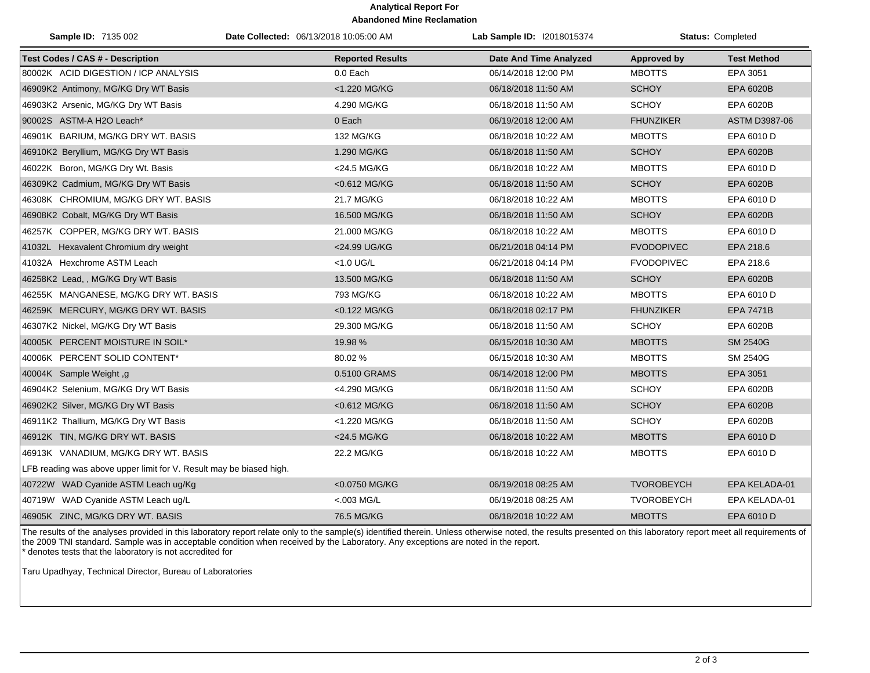## **Analytical Report For Abandoned Mine Reclamation**

| <b>Sample ID: 7135 002</b>                                          | Date Collected: 06/13/2018 10:05:00 AM |                         | Lab Sample ID: I2018015374    |                    | <b>Status: Completed</b> |  |
|---------------------------------------------------------------------|----------------------------------------|-------------------------|-------------------------------|--------------------|--------------------------|--|
| <b>Test Codes / CAS # - Description</b>                             |                                        | <b>Reported Results</b> | <b>Date And Time Analyzed</b> | <b>Approved by</b> | <b>Test Method</b>       |  |
| 80002K ACID DIGESTION / ICP ANALYSIS                                |                                        | 0.0 Each                | 06/14/2018 12:00 PM           | <b>MBOTTS</b>      | EPA 3051                 |  |
| 46909K2 Antimony, MG/KG Dry WT Basis                                |                                        | <1.220 MG/KG            | 06/18/2018 11:50 AM           | <b>SCHOY</b>       | EPA 6020B                |  |
| 46903K2 Arsenic, MG/KG Dry WT Basis                                 |                                        | 4.290 MG/KG             | 06/18/2018 11:50 AM           | <b>SCHOY</b>       | EPA 6020B                |  |
| 90002S ASTM-A H2O Leach*                                            |                                        | 0 Each                  | 06/19/2018 12:00 AM           | <b>FHUNZIKER</b>   | ASTM D3987-06            |  |
| 46901K BARIUM, MG/KG DRY WT. BASIS                                  |                                        | 132 MG/KG               | 06/18/2018 10:22 AM           | <b>MBOTTS</b>      | EPA 6010 D               |  |
| 46910K2 Beryllium, MG/KG Dry WT Basis                               |                                        | 1.290 MG/KG             | 06/18/2018 11:50 AM           | <b>SCHOY</b>       | EPA 6020B                |  |
| 46022K Boron, MG/KG Dry Wt. Basis                                   |                                        | <24.5 MG/KG             | 06/18/2018 10:22 AM           | <b>MBOTTS</b>      | EPA 6010 D               |  |
| 46309K2 Cadmium, MG/KG Dry WT Basis                                 |                                        | <0.612 MG/KG            | 06/18/2018 11:50 AM           | <b>SCHOY</b>       | EPA 6020B                |  |
| 46308K CHROMIUM, MG/KG DRY WT. BASIS                                |                                        | 21.7 MG/KG              | 06/18/2018 10:22 AM           | <b>MBOTTS</b>      | EPA 6010 D               |  |
| 46908K2 Cobalt, MG/KG Dry WT Basis                                  |                                        | 16.500 MG/KG            | 06/18/2018 11:50 AM           | <b>SCHOY</b>       | EPA 6020B                |  |
| 46257K COPPER, MG/KG DRY WT. BASIS                                  |                                        | 21.000 MG/KG            | 06/18/2018 10:22 AM           | <b>MBOTTS</b>      | EPA 6010 D               |  |
| 41032L Hexavalent Chromium dry weight                               |                                        | <24.99 UG/KG            | 06/21/2018 04:14 PM           | <b>FVODOPIVEC</b>  | EPA 218.6                |  |
| 41032A Hexchrome ASTM Leach                                         |                                        | $<$ 1.0 UG/L            | 06/21/2018 04:14 PM           | <b>FVODOPIVEC</b>  | EPA 218.6                |  |
| 46258K2 Lead, , MG/KG Dry WT Basis                                  |                                        | 13.500 MG/KG            | 06/18/2018 11:50 AM           | <b>SCHOY</b>       | <b>EPA 6020B</b>         |  |
| 46255K MANGANESE, MG/KG DRY WT. BASIS                               |                                        | 793 MG/KG               | 06/18/2018 10:22 AM           | <b>MBOTTS</b>      | EPA 6010 D               |  |
| 46259K MERCURY, MG/KG DRY WT. BASIS                                 |                                        | <0.122 MG/KG            | 06/18/2018 02:17 PM           | <b>FHUNZIKER</b>   | <b>EPA 7471B</b>         |  |
| 46307K2 Nickel, MG/KG Dry WT Basis                                  |                                        | 29.300 MG/KG            | 06/18/2018 11:50 AM           | <b>SCHOY</b>       | EPA 6020B                |  |
| 40005K PERCENT MOISTURE IN SOIL*                                    |                                        | 19.98 %                 | 06/15/2018 10:30 AM           | <b>MBOTTS</b>      | <b>SM 2540G</b>          |  |
| 40006K PERCENT SOLID CONTENT*                                       |                                        | 80.02 %                 | 06/15/2018 10:30 AM           | <b>MBOTTS</b>      | SM 2540G                 |  |
| 40004K Sample Weight, g                                             |                                        | 0.5100 GRAMS            | 06/14/2018 12:00 PM           | <b>MBOTTS</b>      | EPA 3051                 |  |
| 46904K2 Selenium, MG/KG Dry WT Basis                                |                                        | <4.290 MG/KG            | 06/18/2018 11:50 AM           | <b>SCHOY</b>       | EPA 6020B                |  |
| 46902K2 Silver, MG/KG Dry WT Basis                                  |                                        | <0.612 MG/KG            | 06/18/2018 11:50 AM           | <b>SCHOY</b>       | EPA 6020B                |  |
| 46911K2 Thallium, MG/KG Dry WT Basis                                |                                        | <1.220 MG/KG            | 06/18/2018 11:50 AM           | <b>SCHOY</b>       | EPA 6020B                |  |
| 46912K TIN, MG/KG DRY WT. BASIS                                     |                                        | <24.5 MG/KG             | 06/18/2018 10:22 AM           | <b>MBOTTS</b>      | EPA 6010 D               |  |
| 46913K VANADIUM, MG/KG DRY WT. BASIS                                |                                        | 22.2 MG/KG              | 06/18/2018 10:22 AM           | <b>MBOTTS</b>      | EPA 6010 D               |  |
| LFB reading was above upper limit for V. Result may be biased high. |                                        |                         |                               |                    |                          |  |
| 40722W WAD Cyanide ASTM Leach ug/Kg                                 |                                        | <0.0750 MG/KG           | 06/19/2018 08:25 AM           | <b>TVOROBEYCH</b>  | EPA KELADA-01            |  |
| 40719W WAD Cyanide ASTM Leach ug/L                                  |                                        | $< 003$ MG/L            | 06/19/2018 08:25 AM           | <b>TVOROBEYCH</b>  | EPA KELADA-01            |  |
| 46905K ZINC, MG/KG DRY WT. BASIS                                    |                                        | 76.5 MG/KG              | 06/18/2018 10:22 AM           | <b>MBOTTS</b>      | EPA 6010 D               |  |

The results of the analyses provided in this laboratory report relate only to the sample(s) identified therein. Unless otherwise noted, the results presented on this laboratory report meet all requirements of the 2009 TNI standard. Sample was in acceptable condition when received by the Laboratory. Any exceptions are noted in the report. \* denotes tests that the laboratory is not accredited for

Taru Upadhyay, Technical Director, Bureau of Laboratories